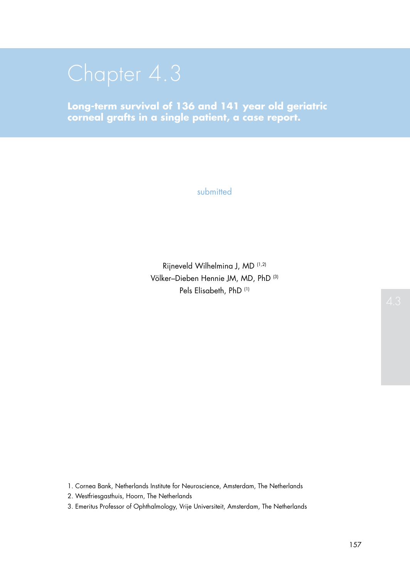**Long-term survival of 136 and 141 year old geriatric corneal grafts in a single patient, a case report.**

submitted

Rijneveld Wilhelmina J, MD (1,2) Völker–Dieben Hennie JM, MD, PhD (3) Pels Elisabeth, PhD (1)

1. Cornea Bank, Netherlands Institute for Neuroscience, Amsterdam, The Netherlands

2. Westfriesgasthuis, Hoorn, The Netherlands

3. Emeritus Professor of Ophthalmology, Vrije Universiteit, Amsterdam, The Netherlands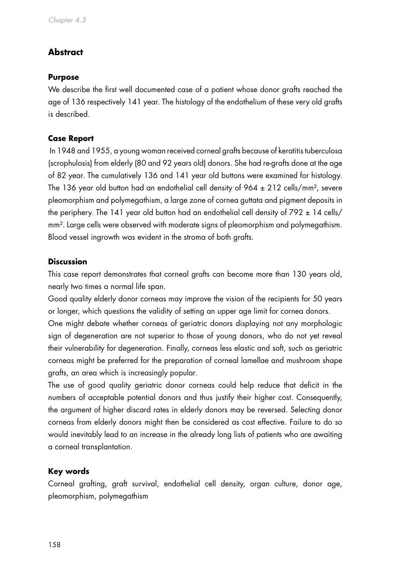# **Abstract**

#### **Purpose**

We describe the first well documented case of a patient whose donor grafts reached the age of 136 respectively 141 year. The histology of the endothelium of these very old grafts is described.

## **Case Report**

 In 1948 and 1955, a young woman received corneal grafts because of keratitis tuberculosa (scrophulosis) from elderly (80 and 92 years old) donors. She had re-grafts done at the age of 82 year. The cumulatively 136 and 141 year old buttons were examined for histology. The 136 year old button had an endothelial cell density of  $964 \pm 212$  cells/mm<sup>2</sup>, severe pleomorphism and polymegathism, a large zone of cornea guttata and pigment deposits in the periphery. The 141 year old button had an endothelial cell density of  $792 \pm 14$  cells/ mm². Large cells were observed with moderate signs of pleomorphism and polymegathism. Blood vessel ingrowth was evident in the stroma of both grafts.

#### **Discussion**

This case report demonstrates that corneal grafts can become more than 130 years old, nearly two times a normal life span.

Good quality elderly donor corneas may improve the vision of the recipients for 50 years or longer, which questions the validity of setting an upper age limit for cornea donors.

One might debate whether corneas of geriatric donors displaying not any morphologic sign of degeneration are not superior to those of young donors, who do not yet reveal their vulnerability for degeneration. Finally, corneas less elastic and soft, such as geriatric corneas might be preferred for the preparation of corneal lamellae and mushroom shape grafts, an area which is increasingly popular.

The use of good quality geriatric donor corneas could help reduce that deficit in the numbers of acceptable potential donors and thus justify their higher cost. Consequently, the argument of higher discard rates in elderly donors may be reversed. Selecting donor corneas from elderly donors might then be considered as cost effective. Failure to do so would inevitably lead to an increase in the already long lists of patients who are awaiting a corneal transplantation.

# **Key words**

Corneal grafting, graft survival, endothelial cell density, organ culture, donor age, pleomorphism, polymegathism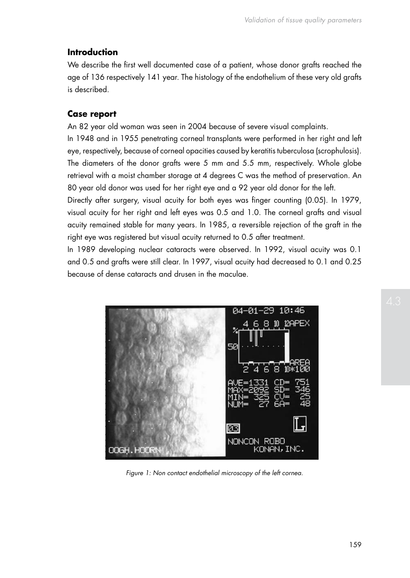# **Introduction**

We describe the first well documented case of a patient, whose donor grafts reached the age of 136 respectively 141 year. The histology of the endothelium of these very old grafts is described.

#### **Case report**

An 82 year old woman was seen in 2004 because of severe visual complaints.

In 1948 and in 1955 penetrating corneal transplants were performed in her right and left eye, respectively, because of corneal opacities caused by keratitis tuberculosa (scrophulosis). The diameters of the donor grafts were 5 mm and 5.5 mm, respectively. Whole globe retrieval with a moist chamber storage at 4 degrees C was the method of preservation. An 80 year old donor was used for her right eye and a 92 year old donor for the left.

Directly after surgery, visual acuity for both eyes was finger counting (0.05). In 1979, visual acuity for her right and left eyes was 0.5 and 1.0. The corneal grafts and visual acuity remained stable for many years. In 1985, a reversible rejection of the graft in the right eye was registered but visual acuity returned to 0.5 after treatment.

In 1989 developing nuclear cataracts were observed. In 1992, visual acuity was 0.1 and 0.5 and grafts were still clear. In 1997, visual acuity had decreased to 0.1 and 0.25 because of dense cataracts and drusen in the maculae.



*Figure 1: Non contact endothelial microscopy of the left cornea.*

159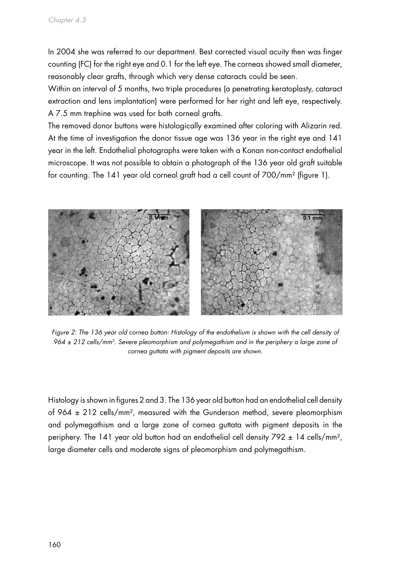In 2004 she was referred to our department. Best corrected visual acuity then was finger counting (FC) for the right eye and 0.1 for the left eye. The corneas showed small diameter, reasonably clear grafts, through which very dense cataracts could be seen.

Within an interval of 5 months, two triple procedures (a penetrating keratoplasty, cataract extraction and lens implantation) were performed for her right and left eye, respectively. A 7.5 mm trephine was used for both corneal grafts.

The removed donor buttons were histologically examined after coloring with Alizarin red. At the time of investigation the donor tissue age was 136 year in the right eye and 141 year in the left. Endothelial photographs were taken with a Konan non-contact endothelial microscope. It was not possible to obtain a photograph of the 136 year old graft suitable for counting. The 141 year old corneal graft had a cell count of 700/mm² (figure 1).



Figure 2: The 136 year old cornea button: Histology of the endothelium is shown with the cell density of *964 ± 212 cells/mm2. Severe pleomorphism and polymegathism and in the periphery a large zone of cornea guttata with pigment deposits are shown.*

Histology is shown in figures 2 and 3. The 136 year old button had an endothelial cell density of 964 ± 212 cells/mm², measured with the Gunderson method, severe pleomorphism and polymegathism and a large zone of cornea guttata with pigment deposits in the periphery. The 141 year old button had an endothelial cell density 792 ± 14 cells/mm², large diameter cells and moderate signs of pleomorphism and polymegathism.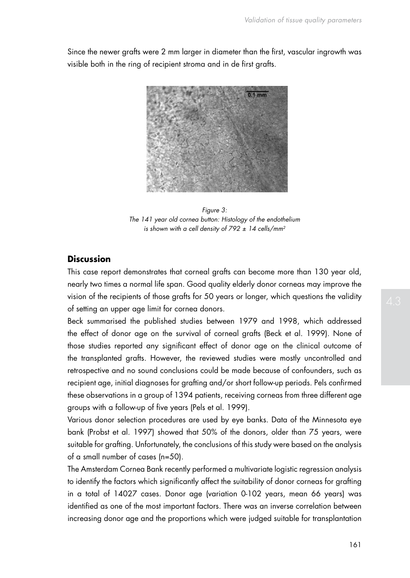Since the newer grafts were 2 mm larger in diameter than the first, vascular ingrowth was visible both in the ring of recipient stroma and in de first grafts.



*Figure 3: The 141 year old cornea button: Histology of the endothelium is shown with a cell density of 792 ± 14 cells/mm2*

## **Discussion**

This case report demonstrates that corneal grafts can become more than 130 year old, nearly two times a normal life span. Good quality elderly donor corneas may improve the vision of the recipients of those grafts for 50 years or longer, which questions the validity of setting an upper age limit for cornea donors.

Beck summarised the published studies between 1979 and 1998, which addressed the effect of donor age on the survival of corneal grafts (Beck et al. 1999). None of those studies reported any significant effect of donor age on the clinical outcome of the transplanted grafts. However, the reviewed studies were mostly uncontrolled and retrospective and no sound conclusions could be made because of confounders, such as recipient age, initial diagnoses for grafting and/or short follow-up periods. Pels confirmed these observations in a group of 1394 patients, receiving corneas from three different age groups with a follow-up of five years (Pels et al. 1999).

Various donor selection procedures are used by eye banks. Data of the Minnesota eye bank (Probst et al. 1997) showed that 50% of the donors, older than 75 years, were suitable for grafting. Unfortunately, the conclusions of this study were based on the analysis of a small number of cases (n=50).

The Amsterdam Cornea Bank recently performed a multivariate logistic regression analysis to identify the factors which significantly affect the suitability of donor corneas for grafting in a total of 14027 cases. Donor age (variation 0-102 years, mean 66 years) was identified as one of the most important factors. There was an inverse correlation between increasing donor age and the proportions which were judged suitable for transplantation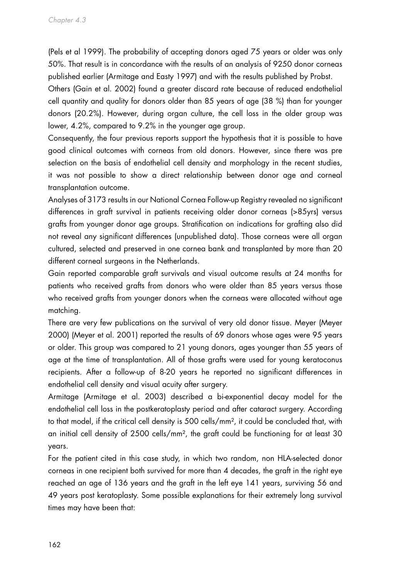(Pels et al 1999). The probability of accepting donors aged 75 years or older was only 50%. That result is in concordance with the results of an analysis of 9250 donor corneas published earlier (Armitage and Easty 1997) and with the results published by Probst.

Others (Gain et al. 2002) found a greater discard rate because of reduced endothelial cell quantity and quality for donors older than 85 years of age (38 %) than for younger donors (20.2%). However, during organ culture, the cell loss in the older group was lower, 4.2%, compared to 9.2% in the younger age group.

Consequently, the four previous reports support the hypothesis that it is possible to have good clinical outcomes with corneas from old donors. However, since there was pre selection on the basis of endothelial cell density and morphology in the recent studies, it was not possible to show a direct relationship between donor age and corneal transplantation outcome.

Analyses of 3173 results in our National Cornea Follow-up Registry revealed no significant differences in graft survival in patients receiving older donor corneas (>85yrs) versus grafts from younger donor age groups. Stratification on indications for grafting also did not reveal any significant differences (unpublished data). Those corneas were all organ cultured, selected and preserved in one cornea bank and transplanted by more than 20 different corneal surgeons in the Netherlands.

Gain reported comparable graft survivals and visual outcome results at 24 months for patients who received grafts from donors who were older than 85 years versus those who received grafts from younger donors when the corneas were allocated without age matching.

There are very few publications on the survival of very old donor tissue. Meyer (Meyer 2000) (Meyer et al. 2001) reported the results of 69 donors whose ages were 95 years or older. This group was compared to 21 young donors, ages younger than 55 years of age at the time of transplantation. All of those grafts were used for young keratoconus recipients. After a follow-up of 8-20 years he reported no significant differences in endothelial cell density and visual acuity after surgery.

Armitage (Armitage et al. 2003) described a bi-exponential decay model for the endothelial cell loss in the postkeratoplasty period and after cataract surgery. According to that model, if the critical cell density is 500 cells/mm<sup>2</sup>, it could be concluded that, with an initial cell density of 2500 cells/mm<sup>2</sup>, the graft could be functioning for at least 30 years.

For the patient cited in this case study, in which two random, non HLA-selected donor corneas in one recipient both survived for more than 4 decades, the graft in the right eye reached an age of 136 years and the graft in the left eye 141 years, surviving 56 and 49 years post keratoplasty. Some possible explanations for their extremely long survival times may have been that: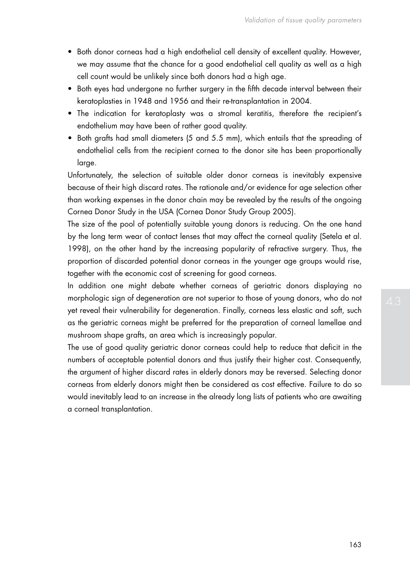- Both donor corneas had a high endothelial cell density of excellent quality. However, we may assume that the chance for a good endothelial cell quality as well as a high cell count would be unlikely since both donors had a high age.
- Both eyes had undergone no further surgery in the fifth decade interval between their keratoplasties in 1948 and 1956 and their re-transplantation in 2004.
- • The indication for keratoplasty was a stromal keratitis, therefore the recipient's endothelium may have been of rather good quality.
- Both grafts had small diameters (5 and 5.5 mm), which entails that the spreading of endothelial cells from the recipient cornea to the donor site has been proportionally large.

Unfortunately, the selection of suitable older donor corneas is inevitably expensive because of their high discard rates. The rationale and/or evidence for age selection other than working expenses in the donor chain may be revealed by the results of the ongoing Cornea Donor Study in the USA (Cornea Donor Study Group 2005).

The size of the pool of potentially suitable young donors is reducing. On the one hand by the long term wear of contact lenses that may affect the corneal quality (Setela et al. 1998), on the other hand by the increasing popularity of refractive surgery. Thus, the proportion of discarded potential donor corneas in the younger age groups would rise, together with the economic cost of screening for good corneas.

In addition one might debate whether corneas of geriatric donors displaying no morphologic sign of degeneration are not superior to those of young donors, who do not yet reveal their vulnerability for degeneration. Finally, corneas less elastic and soft, such as the geriatric corneas might be preferred for the preparation of corneal lamellae and mushroom shape grafts, an area which is increasingly popular.

The use of good quality geriatric donor corneas could help to reduce that deficit in the numbers of acceptable potential donors and thus justify their higher cost. Consequently, the argument of higher discard rates in elderly donors may be reversed. Selecting donor corneas from elderly donors might then be considered as cost effective. Failure to do so would inevitably lead to an increase in the already long lists of patients who are awaiting a corneal transplantation.